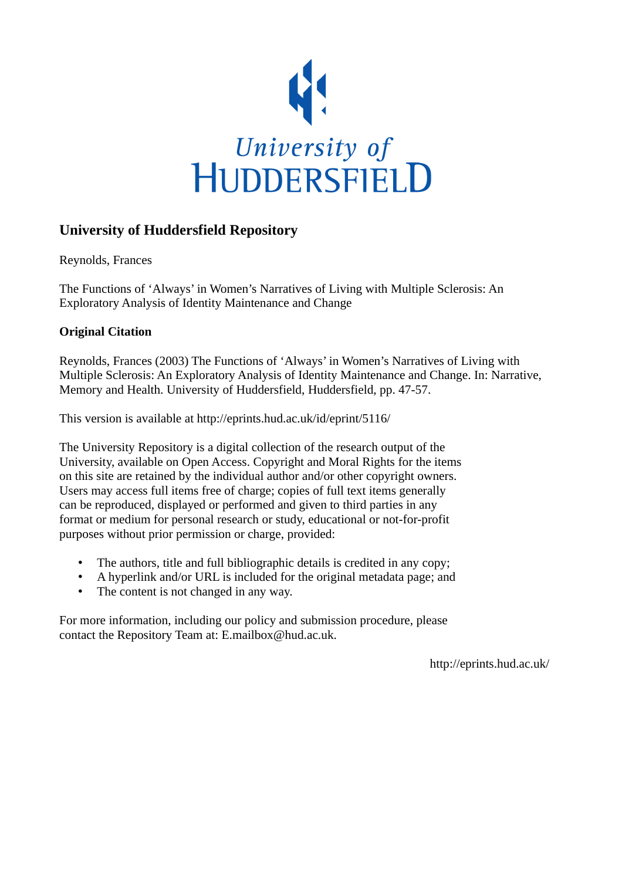

## **University of Huddersfield Repository**

Reynolds, Frances

The Functions of 'Always' in Women's Narratives of Living with Multiple Sclerosis: An Exploratory Analysis of Identity Maintenance and Change

### **Original Citation**

Reynolds, Frances (2003) The Functions of 'Always' in Women's Narratives of Living with Multiple Sclerosis: An Exploratory Analysis of Identity Maintenance and Change. In: Narrative, Memory and Health. University of Huddersfield, Huddersfield, pp. 47-57.

This version is available at http://eprints.hud.ac.uk/id/eprint/5116/

The University Repository is a digital collection of the research output of the University, available on Open Access. Copyright and Moral Rights for the items on this site are retained by the individual author and/or other copyright owners. Users may access full items free of charge; copies of full text items generally can be reproduced, displayed or performed and given to third parties in any format or medium for personal research or study, educational or not-for-profit purposes without prior permission or charge, provided:

- The authors, title and full bibliographic details is credited in any copy;
- A hyperlink and/or URL is included for the original metadata page; and
- The content is not changed in any way.

For more information, including our policy and submission procedure, please contact the Repository Team at: E.mailbox@hud.ac.uk.

http://eprints.hud.ac.uk/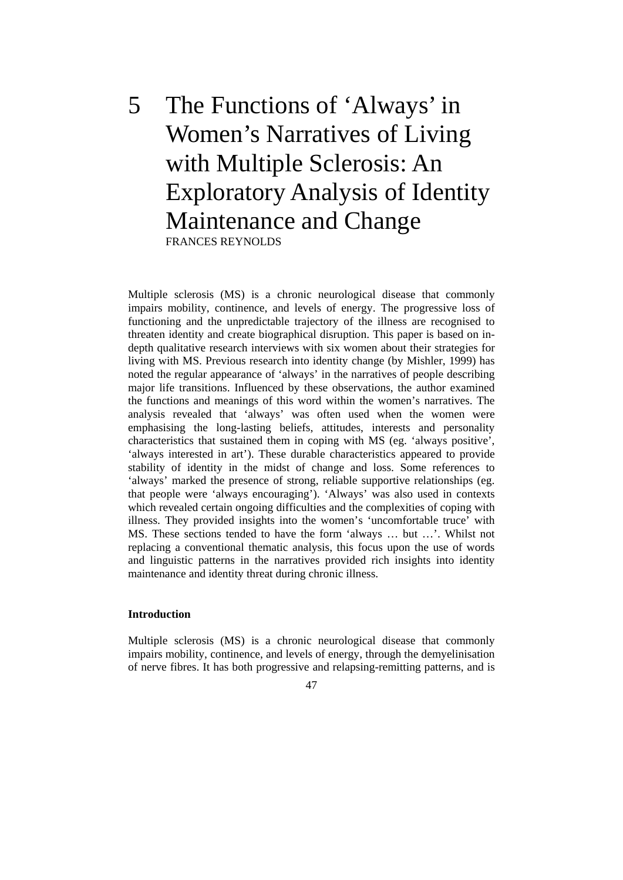# 5 The Functions of 'Always' in Women's Narratives of Living with Multiple Sclerosis: An Exploratory Analysis of Identity Maintenance and Change FRANCES REYNOLDS

Multiple sclerosis (MS) is a chronic neurological disease that commonly impairs mobility, continence, and levels of energy. The progressive loss of functioning and the unpredictable trajectory of the illness are recognised to threaten identity and create biographical disruption. This paper is based on indepth qualitative research interviews with six women about their strategies for living with MS. Previous research into identity change (by Mishler, 1999) has noted the regular appearance of 'always' in the narratives of people describing major life transitions. Influenced by these observations, the author examined the functions and meanings of this word within the women's narratives. The analysis revealed that 'always' was often used when the women were emphasising the long-lasting beliefs, attitudes, interests and personality characteristics that sustained them in coping with MS (eg. 'always positive', 'always interested in art'). These durable characteristics appeared to provide stability of identity in the midst of change and loss. Some references to 'always' marked the presence of strong, reliable supportive relationships (eg. that people were 'always encouraging'). 'Always' was also used in contexts which revealed certain ongoing difficulties and the complexities of coping with illness. They provided insights into the women's 'uncomfortable truce' with MS. These sections tended to have the form 'always … but …'. Whilst not replacing a conventional thematic analysis, this focus upon the use of words and linguistic patterns in the narratives provided rich insights into identity maintenance and identity threat during chronic illness.

#### **Introduction**

Multiple sclerosis (MS) is a chronic neurological disease that commonly impairs mobility, continence, and levels of energy, through the demyelinisation of nerve fibres. It has both progressive and relapsing-remitting patterns, and is

47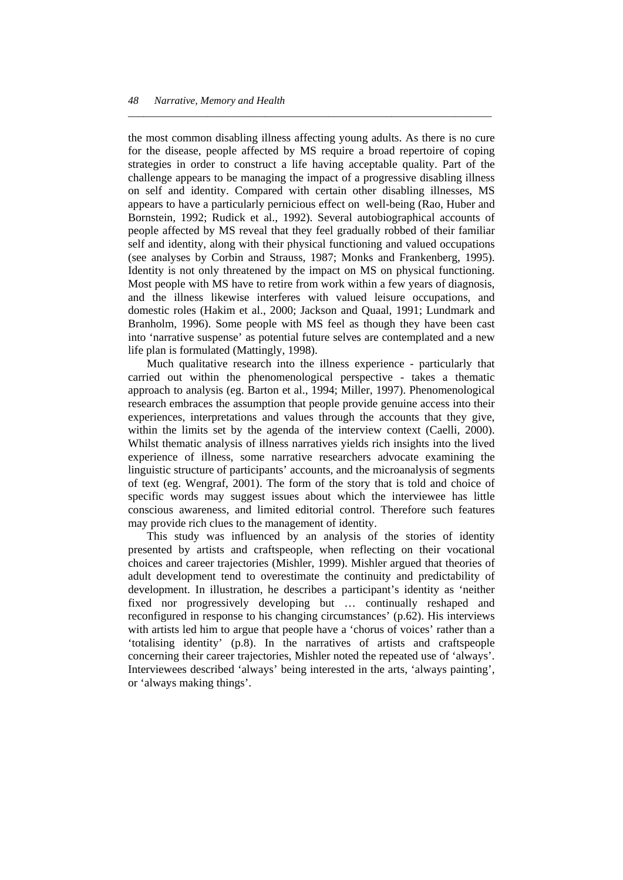the most common disabling illness affecting young adults. As there is no cure for the disease, people affected by MS require a broad repertoire of coping strategies in order to construct a life having acceptable quality. Part of the challenge appears to be managing the impact of a progressive disabling illness on self and identity. Compared with certain other disabling illnesses, MS appears to have a particularly pernicious effect on well-being (Rao, Huber and Bornstein, 1992; Rudick et al., 1992). Several autobiographical accounts of people affected by MS reveal that they feel gradually robbed of their familiar self and identity, along with their physical functioning and valued occupations (see analyses by Corbin and Strauss, 1987; Monks and Frankenberg, 1995). Identity is not only threatened by the impact on MS on physical functioning. Most people with MS have to retire from work within a few years of diagnosis, and the illness likewise interferes with valued leisure occupations, and domestic roles (Hakim et al., 2000; Jackson and Quaal, 1991; Lundmark and Branholm, 1996). Some people with MS feel as though they have been cast into 'narrative suspense' as potential future selves are contemplated and a new life plan is formulated (Mattingly, 1998).

*\_\_\_\_\_\_\_\_\_\_\_\_\_\_\_\_\_\_\_\_\_\_\_\_\_\_\_\_\_\_\_\_\_\_\_\_\_\_\_\_\_\_\_\_\_\_\_\_\_\_\_\_\_\_\_\_\_\_\_\_\_\_\_\_\_\_\_\_\_* 

 Much qualitative research into the illness experience - particularly that carried out within the phenomenological perspective - takes a thematic approach to analysis (eg. Barton et al., 1994; Miller, 1997). Phenomenological research embraces the assumption that people provide genuine access into their experiences, interpretations and values through the accounts that they give, within the limits set by the agenda of the interview context (Caelli, 2000). Whilst thematic analysis of illness narratives yields rich insights into the lived experience of illness, some narrative researchers advocate examining the linguistic structure of participants' accounts, and the microanalysis of segments of text (eg. Wengraf, 2001). The form of the story that is told and choice of specific words may suggest issues about which the interviewee has little conscious awareness, and limited editorial control. Therefore such features may provide rich clues to the management of identity.

 This study was influenced by an analysis of the stories of identity presented by artists and craftspeople, when reflecting on their vocational choices and career trajectories (Mishler, 1999). Mishler argued that theories of adult development tend to overestimate the continuity and predictability of development. In illustration, he describes a participant's identity as 'neither fixed nor progressively developing but … continually reshaped and reconfigured in response to his changing circumstances' (p.62). His interviews with artists led him to argue that people have a 'chorus of voices' rather than a 'totalising identity' (p.8). In the narratives of artists and craftspeople concerning their career trajectories, Mishler noted the repeated use of 'always'. Interviewees described 'always' being interested in the arts, 'always painting', or 'always making things'.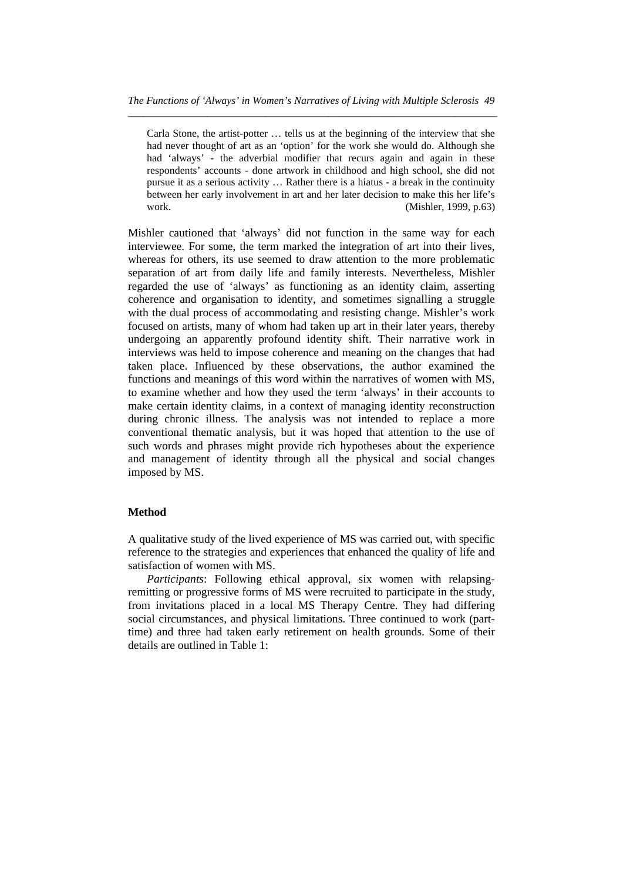Carla Stone, the artist-potter … tells us at the beginning of the interview that she had never thought of art as an 'option' for the work she would do. Although she had 'always' - the adverbial modifier that recurs again and again in these respondents' accounts - done artwork in childhood and high school, she did not pursue it as a serious activity … Rather there is a hiatus - a break in the continuity between her early involvement in art and her later decision to make this her life's work. **(Mishler, 1999, p.63)** 

Mishler cautioned that 'always' did not function in the same way for each interviewee. For some, the term marked the integration of art into their lives, whereas for others, its use seemed to draw attention to the more problematic separation of art from daily life and family interests. Nevertheless, Mishler regarded the use of 'always' as functioning as an identity claim, asserting coherence and organisation to identity, and sometimes signalling a struggle with the dual process of accommodating and resisting change. Mishler's work focused on artists, many of whom had taken up art in their later years, thereby undergoing an apparently profound identity shift. Their narrative work in interviews was held to impose coherence and meaning on the changes that had taken place. Influenced by these observations, the author examined the functions and meanings of this word within the narratives of women with MS, to examine whether and how they used the term 'always' in their accounts to make certain identity claims, in a context of managing identity reconstruction during chronic illness. The analysis was not intended to replace a more conventional thematic analysis, but it was hoped that attention to the use of such words and phrases might provide rich hypotheses about the experience and management of identity through all the physical and social changes imposed by MS.

#### **Method**

A qualitative study of the lived experience of MS was carried out, with specific reference to the strategies and experiences that enhanced the quality of life and satisfaction of women with MS.

 *Participants*: Following ethical approval, six women with relapsingremitting or progressive forms of MS were recruited to participate in the study, from invitations placed in a local MS Therapy Centre. They had differing social circumstances, and physical limitations. Three continued to work (parttime) and three had taken early retirement on health grounds. Some of their details are outlined in Table 1: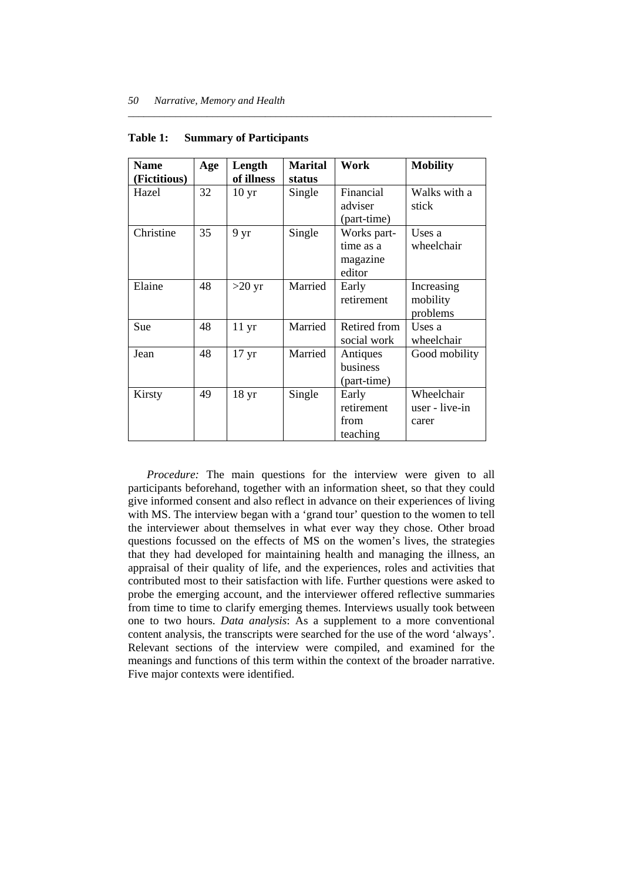| <b>Name</b>  | Age | Length           | <b>Marital</b> | Work         | <b>Mobility</b> |
|--------------|-----|------------------|----------------|--------------|-----------------|
| (Fictitious) |     | of illness       | status         |              |                 |
| Hazel        | 32  | 10 <sub>yr</sub> | Single         | Financial    | Walks with a    |
|              |     |                  |                | adviser      | stick           |
|              |     |                  |                | (part-time)  |                 |
| Christine    | 35  | 9 yr             | Single         | Works part-  | Uses a          |
|              |     |                  |                | time as a    | wheelchair      |
|              |     |                  |                | magazine     |                 |
|              |     |                  |                | editor       |                 |
| Elaine       | 48  | $>20 \text{ yr}$ | Married        | Early        | Increasing      |
|              |     |                  |                | retirement   | mobility        |
|              |     |                  |                |              | problems        |
| <b>Sue</b>   | 48  | $11 \text{ yr}$  | Married        | Retired from | Uses a          |
|              |     |                  |                | social work  | wheelchair      |
| Jean         | 48  | 17 <sub>yr</sub> | Married        | Antiques     | Good mobility   |
|              |     |                  |                | business     |                 |
|              |     |                  |                | (part-time)  |                 |
| Kirsty       | 49  | 18 <sub>yr</sub> | Single         | Early        | Wheelchair      |
|              |     |                  |                | retirement   | user - live-in  |
|              |     |                  |                | from         | carer           |
|              |     |                  |                | teaching     |                 |

*\_\_\_\_\_\_\_\_\_\_\_\_\_\_\_\_\_\_\_\_\_\_\_\_\_\_\_\_\_\_\_\_\_\_\_\_\_\_\_\_\_\_\_\_\_\_\_\_\_\_\_\_\_\_\_\_\_\_\_\_\_\_\_\_\_\_\_\_\_* 

#### **Table 1: Summary of Participants**

 *Procedure:* The main questions for the interview were given to all participants beforehand, together with an information sheet, so that they could give informed consent and also reflect in advance on their experiences of living with MS. The interview began with a 'grand tour' question to the women to tell the interviewer about themselves in what ever way they chose. Other broad questions focussed on the effects of MS on the women's lives, the strategies that they had developed for maintaining health and managing the illness, an appraisal of their quality of life, and the experiences, roles and activities that contributed most to their satisfaction with life. Further questions were asked to probe the emerging account, and the interviewer offered reflective summaries from time to time to clarify emerging themes. Interviews usually took between one to two hours. *Data analysis*: As a supplement to a more conventional content analysis, the transcripts were searched for the use of the word 'always'. Relevant sections of the interview were compiled, and examined for the meanings and functions of this term within the context of the broader narrative. Five major contexts were identified.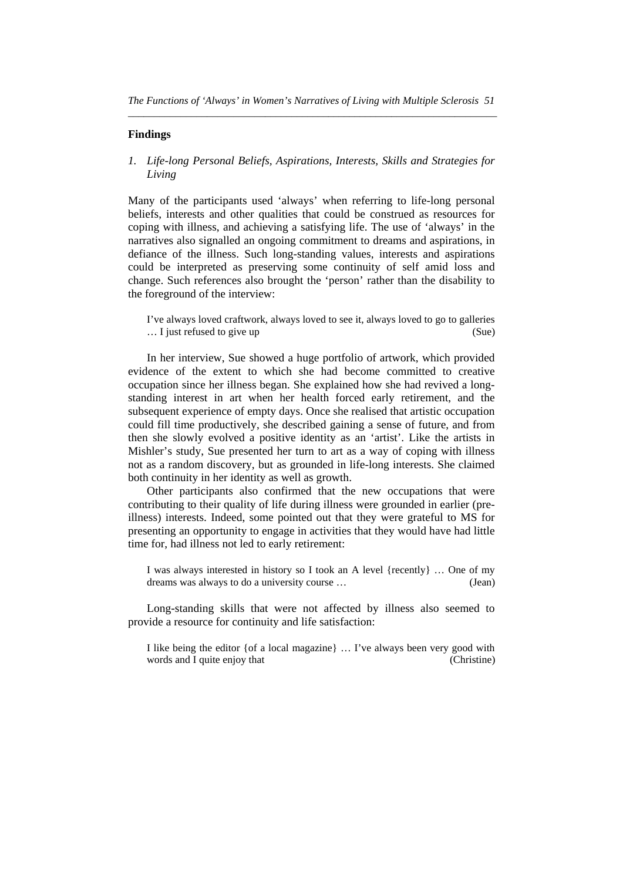#### **Findings**

*1. Life-long Personal Beliefs, Aspirations, Interests, Skills and Strategies for Living* 

Many of the participants used 'always' when referring to life-long personal beliefs, interests and other qualities that could be construed as resources for coping with illness, and achieving a satisfying life. The use of 'always' in the narratives also signalled an ongoing commitment to dreams and aspirations, in defiance of the illness. Such long-standing values, interests and aspirations could be interpreted as preserving some continuity of self amid loss and change. Such references also brought the 'person' rather than the disability to the foreground of the interview:

I've always loved craftwork, always loved to see it, always loved to go to galleries ... I just refused to give up (Sue)

 In her interview, Sue showed a huge portfolio of artwork, which provided evidence of the extent to which she had become committed to creative occupation since her illness began. She explained how she had revived a longstanding interest in art when her health forced early retirement, and the subsequent experience of empty days. Once she realised that artistic occupation could fill time productively, she described gaining a sense of future, and from then she slowly evolved a positive identity as an 'artist'. Like the artists in Mishler's study, Sue presented her turn to art as a way of coping with illness not as a random discovery, but as grounded in life-long interests. She claimed both continuity in her identity as well as growth.

 Other participants also confirmed that the new occupations that were contributing to their quality of life during illness were grounded in earlier (preillness) interests. Indeed, some pointed out that they were grateful to MS for presenting an opportunity to engage in activities that they would have had little time for, had illness not led to early retirement:

I was always interested in history so I took an A level {recently} … One of my dreams was always to do a university course … (Jean)

 Long-standing skills that were not affected by illness also seemed to provide a resource for continuity and life satisfaction:

I like being the editor {of a local magazine} … I've always been very good with words and I quite enjoy that (Christine)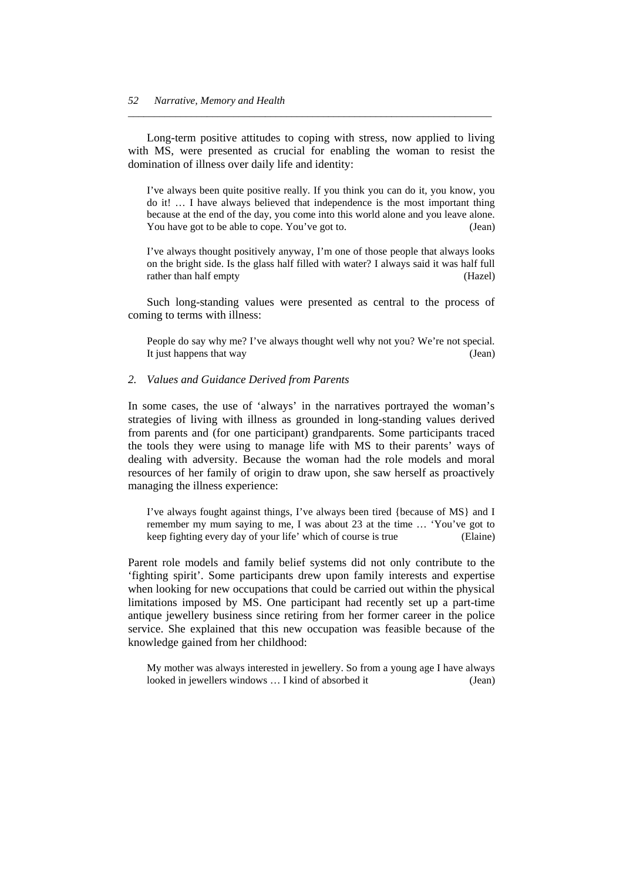Long-term positive attitudes to coping with stress, now applied to living with MS, were presented as crucial for enabling the woman to resist the domination of illness over daily life and identity:

*\_\_\_\_\_\_\_\_\_\_\_\_\_\_\_\_\_\_\_\_\_\_\_\_\_\_\_\_\_\_\_\_\_\_\_\_\_\_\_\_\_\_\_\_\_\_\_\_\_\_\_\_\_\_\_\_\_\_\_\_\_\_\_\_\_\_\_\_\_* 

I've always been quite positive really. If you think you can do it, you know, you do it! … I have always believed that independence is the most important thing because at the end of the day, you come into this world alone and you leave alone. You have got to be able to cope. You've got to. (Jean)

I've always thought positively anyway, I'm one of those people that always looks on the bright side. Is the glass half filled with water? I always said it was half full rather than half empty (Hazel)

 Such long-standing values were presented as central to the process of coming to terms with illness:

People do say why me? I've always thought well why not you? We're not special. It just happens that way (Jean)

#### *2. Values and Guidance Derived from Parents*

In some cases, the use of 'always' in the narratives portrayed the woman's strategies of living with illness as grounded in long-standing values derived from parents and (for one participant) grandparents. Some participants traced the tools they were using to manage life with MS to their parents' ways of dealing with adversity. Because the woman had the role models and moral resources of her family of origin to draw upon, she saw herself as proactively managing the illness experience:

I've always fought against things, I've always been tired {because of MS} and I remember my mum saying to me, I was about 23 at the time … 'You've got to keep fighting every day of your life' which of course is true (Elaine)

Parent role models and family belief systems did not only contribute to the 'fighting spirit'. Some participants drew upon family interests and expertise when looking for new occupations that could be carried out within the physical limitations imposed by MS. One participant had recently set up a part-time antique jewellery business since retiring from her former career in the police service. She explained that this new occupation was feasible because of the knowledge gained from her childhood:

My mother was always interested in jewellery. So from a young age I have always looked in jewellers windows … I kind of absorbed it (Jean)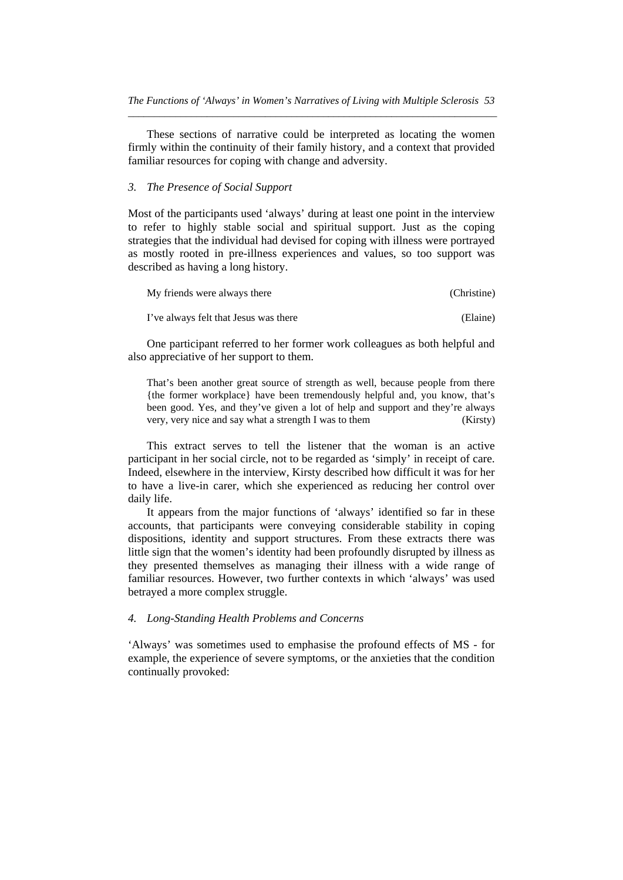These sections of narrative could be interpreted as locating the women firmly within the continuity of their family history, and a context that provided familiar resources for coping with change and adversity.

#### *3. The Presence of Social Support*

Most of the participants used 'always' during at least one point in the interview to refer to highly stable social and spiritual support. Just as the coping strategies that the individual had devised for coping with illness were portrayed as mostly rooted in pre-illness experiences and values, so too support was described as having a long history.

| My friends were always there          | (Christine) |
|---------------------------------------|-------------|
| I've always felt that Jesus was there | (Elaine)    |

 One participant referred to her former work colleagues as both helpful and also appreciative of her support to them.

That's been another great source of strength as well, because people from there {the former workplace} have been tremendously helpful and, you know, that's been good. Yes, and they've given a lot of help and support and they're always very, very nice and say what a strength I was to them (Kirsty)

 This extract serves to tell the listener that the woman is an active participant in her social circle, not to be regarded as 'simply' in receipt of care. Indeed, elsewhere in the interview, Kirsty described how difficult it was for her to have a live-in carer, which she experienced as reducing her control over daily life.

 It appears from the major functions of 'always' identified so far in these accounts, that participants were conveying considerable stability in coping dispositions, identity and support structures. From these extracts there was little sign that the women's identity had been profoundly disrupted by illness as they presented themselves as managing their illness with a wide range of familiar resources. However, two further contexts in which 'always' was used betrayed a more complex struggle.

#### *4. Long-Standing Health Problems and Concerns*

'Always' was sometimes used to emphasise the profound effects of MS - for example, the experience of severe symptoms, or the anxieties that the condition continually provoked: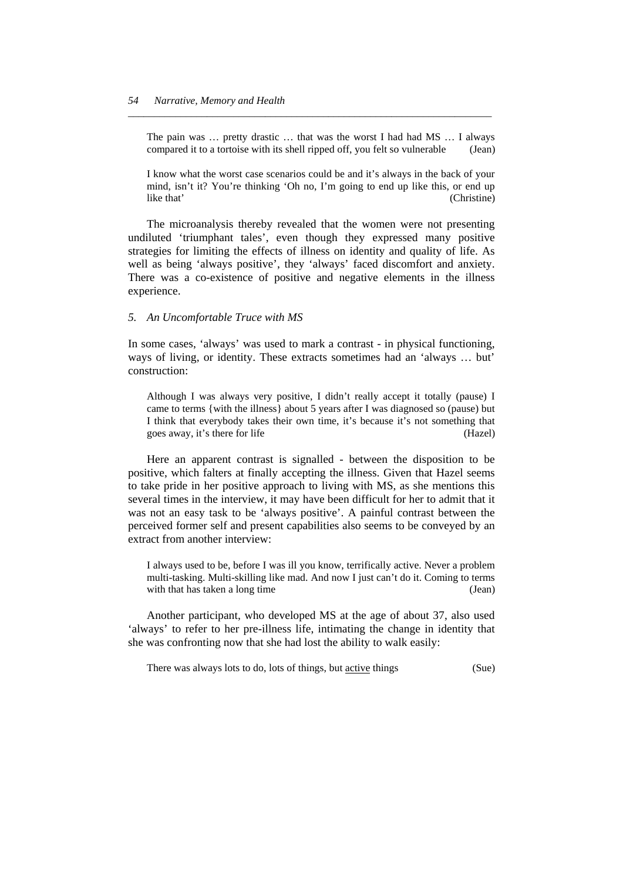The pain was … pretty drastic … that was the worst I had had MS … I always compared it to a tortoise with its shell ripped off, you felt so vulnerable (Jean)

*\_\_\_\_\_\_\_\_\_\_\_\_\_\_\_\_\_\_\_\_\_\_\_\_\_\_\_\_\_\_\_\_\_\_\_\_\_\_\_\_\_\_\_\_\_\_\_\_\_\_\_\_\_\_\_\_\_\_\_\_\_\_\_\_\_\_\_\_\_* 

I know what the worst case scenarios could be and it's always in the back of your mind, isn't it? You're thinking 'Oh no, I'm going to end up like this, or end up like that' (Christine)

 The microanalysis thereby revealed that the women were not presenting undiluted 'triumphant tales', even though they expressed many positive strategies for limiting the effects of illness on identity and quality of life. As well as being 'always positive', they 'always' faced discomfort and anxiety. There was a co-existence of positive and negative elements in the illness experience.

#### *5. An Uncomfortable Truce with MS*

In some cases, 'always' was used to mark a contrast - in physical functioning, ways of living, or identity. These extracts sometimes had an 'always … but' construction:

Although I was always very positive, I didn't really accept it totally (pause) I came to terms {with the illness} about 5 years after I was diagnosed so (pause) but I think that everybody takes their own time, it's because it's not something that goes away, it's there for life (Hazel)

 Here an apparent contrast is signalled - between the disposition to be positive, which falters at finally accepting the illness. Given that Hazel seems to take pride in her positive approach to living with MS, as she mentions this several times in the interview, it may have been difficult for her to admit that it was not an easy task to be 'always positive'. A painful contrast between the perceived former self and present capabilities also seems to be conveyed by an extract from another interview:

I always used to be, before I was ill you know, terrifically active. Never a problem multi-tasking. Multi-skilling like mad. And now I just can't do it. Coming to terms with that has taken a long time (Jean)

 Another participant, who developed MS at the age of about 37, also used 'always' to refer to her pre-illness life, intimating the change in identity that she was confronting now that she had lost the ability to walk easily:

There was always lots to do, lots of things, but <u>active</u> things (Sue)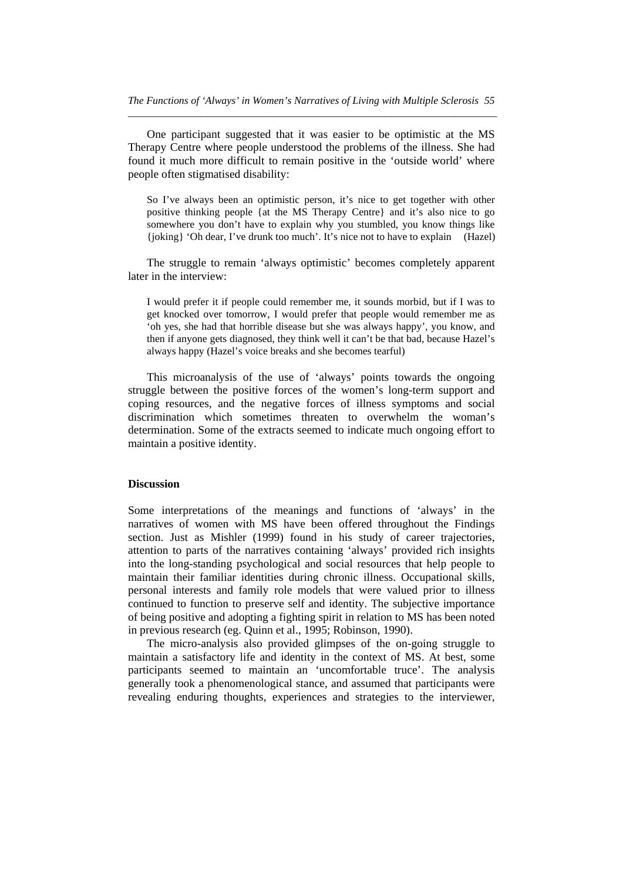One participant suggested that it was easier to be optimistic at the MS Therapy Centre where people understood the problems of the illness. She had found it much more difficult to remain positive in the 'outside world' where people often stigmatised disability:

So I've always been an optimistic person, it's nice to get together with other positive thinking people {at the MS Therapy Centre} and it's also nice to go somewhere you don't have to explain why you stumbled, you know things like {joking} 'Oh dear, I've drunk too much'. It's nice not to have to explain (Hazel)

 The struggle to remain 'always optimistic' becomes completely apparent later in the interview:

I would prefer it if people could remember me, it sounds morbid, but if I was to get knocked over tomorrow, I would prefer that people would remember me as 'oh yes, she had that horrible disease but she was always happy', you know, and then if anyone gets diagnosed, they think well it can't be that bad, because Hazel's always happy (Hazel's voice breaks and she becomes tearful)

 This microanalysis of the use of 'always' points towards the ongoing struggle between the positive forces of the women's long-term support and coping resources, and the negative forces of illness symptoms and social discrimination which sometimes threaten to overwhelm the woman's determination. Some of the extracts seemed to indicate much ongoing effort to maintain a positive identity.

#### **Discussion**

Some interpretations of the meanings and functions of 'always' in the narratives of women with MS have been offered throughout the Findings section. Just as Mishler (1999) found in his study of career trajectories, attention to parts of the narratives containing 'always' provided rich insights into the long-standing psychological and social resources that help people to maintain their familiar identities during chronic illness. Occupational skills, personal interests and family role models that were valued prior to illness continued to function to preserve self and identity. The subjective importance of being positive and adopting a fighting spirit in relation to MS has been noted in previous research (eg. Quinn et al., 1995; Robinson, 1990).

 The micro-analysis also provided glimpses of the on-going struggle to maintain a satisfactory life and identity in the context of MS. At best, some participants seemed to maintain an 'uncomfortable truce'. The analysis generally took a phenomenological stance, and assumed that participants were revealing enduring thoughts, experiences and strategies to the interviewer,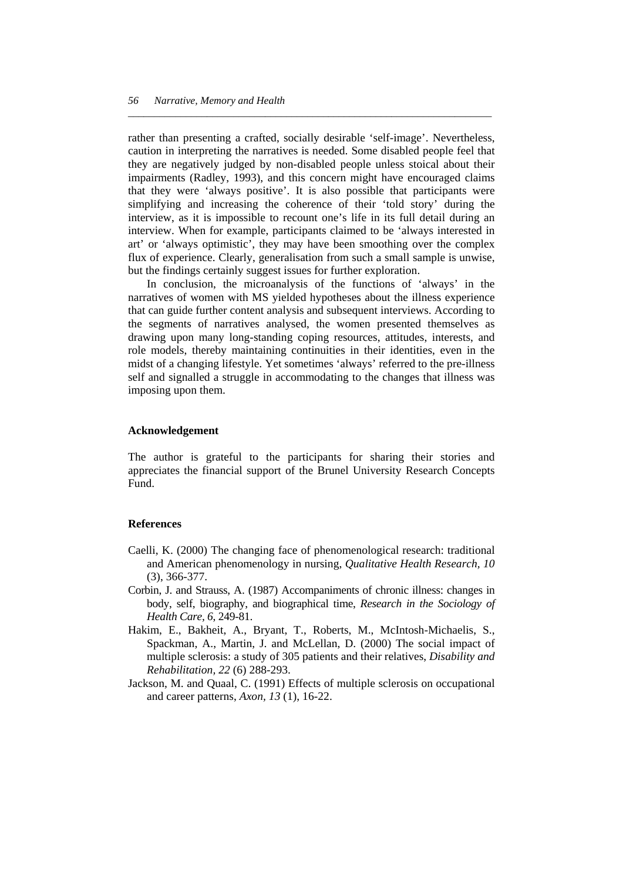rather than presenting a crafted, socially desirable 'self-image'. Nevertheless, caution in interpreting the narratives is needed. Some disabled people feel that they are negatively judged by non-disabled people unless stoical about their impairments (Radley, 1993), and this concern might have encouraged claims that they were 'always positive'. It is also possible that participants were simplifying and increasing the coherence of their 'told story' during the interview, as it is impossible to recount one's life in its full detail during an interview. When for example, participants claimed to be 'always interested in art' or 'always optimistic', they may have been smoothing over the complex flux of experience. Clearly, generalisation from such a small sample is unwise, but the findings certainly suggest issues for further exploration.

*\_\_\_\_\_\_\_\_\_\_\_\_\_\_\_\_\_\_\_\_\_\_\_\_\_\_\_\_\_\_\_\_\_\_\_\_\_\_\_\_\_\_\_\_\_\_\_\_\_\_\_\_\_\_\_\_\_\_\_\_\_\_\_\_\_\_\_\_\_* 

 In conclusion, the microanalysis of the functions of 'always' in the narratives of women with MS yielded hypotheses about the illness experience that can guide further content analysis and subsequent interviews. According to the segments of narratives analysed, the women presented themselves as drawing upon many long-standing coping resources, attitudes, interests, and role models, thereby maintaining continuities in their identities, even in the midst of a changing lifestyle. Yet sometimes 'always' referred to the pre-illness self and signalled a struggle in accommodating to the changes that illness was imposing upon them.

#### **Acknowledgement**

The author is grateful to the participants for sharing their stories and appreciates the financial support of the Brunel University Research Concepts Fund.

#### **References**

- Caelli, K. (2000) The changing face of phenomenological research: traditional and American phenomenology in nursing, *Qualitative Health Research, 10*  (3), 366-377.
- Corbin, J. and Strauss, A. (1987) Accompaniments of chronic illness: changes in body, self, biography, and biographical time, *Research in the Sociology of Health Care, 6*, 249-81.
- Hakim, E., Bakheit, A., Bryant, T., Roberts, M., McIntosh-Michaelis, S., Spackman, A., Martin, J. and McLellan, D. (2000) The social impact of multiple sclerosis: a study of 305 patients and their relatives, *Disability and Rehabilitation, 22* (6) 288-293.
- Jackson, M. and Quaal, C. (1991) Effects of multiple sclerosis on occupational and career patterns, *Axon, 13* (1), 16-22.